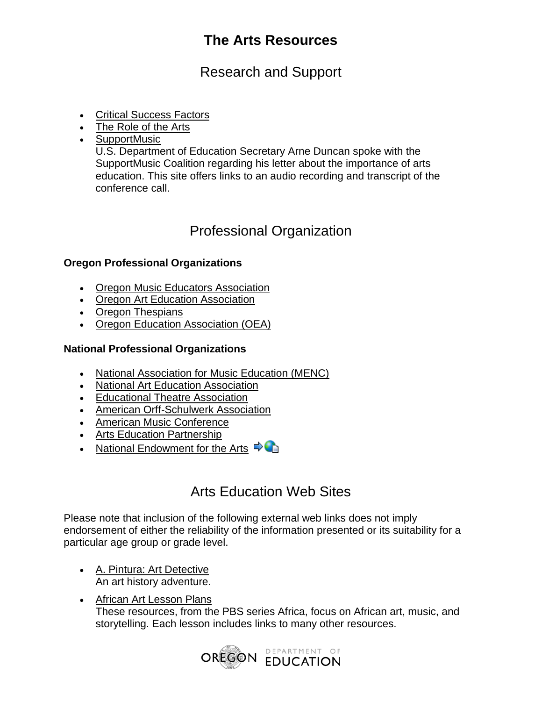Research and Support

- [Critical Success Factors](http://www.ode.state.or.us/teachlearn/subjects/arts/curriculum/criticalsuccessfactors.pdf)
- [The Role of the Arts](http://www.ode.state.or.us/teachlearn/subjects/arts/curriculum/rolesbraindevelopment.pdf)
- SupportMusic

U.S. Department of Education Secretary Arne Duncan spoke with the SupportMusic Coalition regarding his letter about the importance of arts education. This site offers links to an audio recording and transcript of the conference call.

## Professional Organization

### **Oregon Professional Organizations**

- Oregon Music Educators Association
- [Oregon Art Education Association](http://www.oregonarted.org/)
- Oregon Thespians
- [Oregon Education Association \(OEA\)](http://www.oregoned.org/)

### **National Professional Organizations**

- [National Association for Music Education \(MENC\)](http://www.menc.org/)
- National Art Education Association
- [Educational Theatre Association](http://www.edta.org/)
- American Orff-Schulwerk Association
- [American Music Conference](http://www.amc-music.com/)
- Arts Education Partnership
- [National Endowment for the Arts](http://www.nea.gov/)  $\Rightarrow$

## Arts Education Web Sites

Please note that inclusion of the following external web links does not imply endorsement of either the reliability of the information presented or its suitability for a particular age group or grade level.

- [A. Pintura: Art Detective](http://www.eduweb.com/pintura)  An art history adventure.
- African Art Lesson Plans These resources, from the PBS series Africa, focus on African art, music, and storytelling. Each lesson includes links to many other resources.

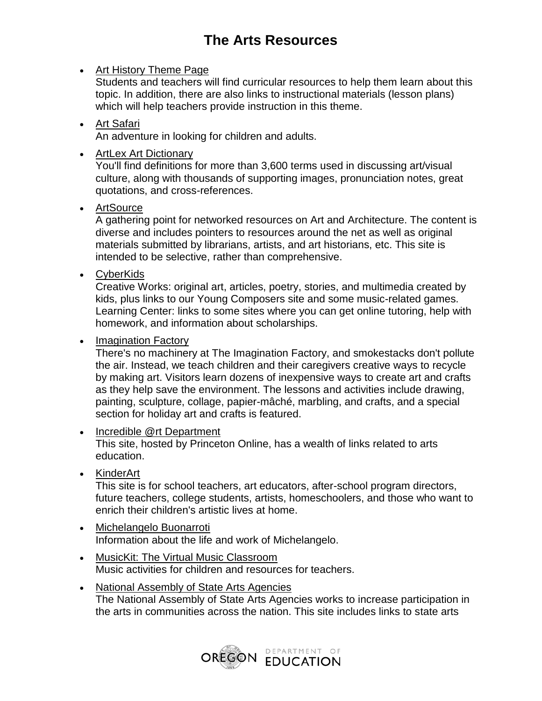### • Art History Theme Page

Students and teachers will find curricular resources to help them learn about this topic. In addition, there are also links to instructional materials (lesson plans) which will help teachers provide instruction in this theme.

#### [Art Safari](http://artsafari.moma.org/)  An adventure in looking for children and adults.

• ArtLex Art Dictionary

You'll find definitions for more than 3,600 terms used in discussing art/visual culture, along with thousands of supporting images, pronunciation notes, great quotations, and cross-references.

[ArtSource](http://www.ilpi.com/artsource/) 

A gathering point for networked resources on Art and Architecture. The content is diverse and includes pointers to resources around the net as well as original materials submitted by librarians, artists, and art historians, etc. This site is intended to be selective, rather than comprehensive.

[CyberKids](http://www.cyberkids.com/) 

Creative Works: original art, articles, poetry, stories, and multimedia created by kids, plus links to our Young Composers site and some music-related games. Learning Center: links to some sites where you can get online tutoring, help with homework, and information about scholarships.

#### • Imagination Factory

There's no machinery at The Imagination Factory, and smokestacks don't pollute the air. Instead, we teach children and their caregivers creative ways to recycle by making art. Visitors learn dozens of inexpensive ways to create art and crafts as they help save the environment. The lessons and activities include drawing, painting, sculpture, collage, papier-mâché, marbling, and crafts, and a special section for holiday art and crafts is featured.

#### • Incredible @rt Department

This site, hosted by Princeton Online, has a wealth of links related to arts education.

• KinderArt

This site is for school teachers, art educators, after-school program directors, future teachers, college students, artists, homeschoolers, and those who want to enrich their children's artistic lives at home.

- [Michelangelo Buonarroti](http://www.michelangelo.com/buon/bio-index2.html)  Information about the life and work of Michelangelo.
- [MusicKit: The Virtual Music Classroom](http://www.musickit.com/)  Music activities for children and resources for teachers.
- [National Assembly of State Arts Agencies](http://www.nasaa-arts.org/)  The National Assembly of State Arts Agencies works to increase participation in the arts in communities across the nation. This site includes links to state arts

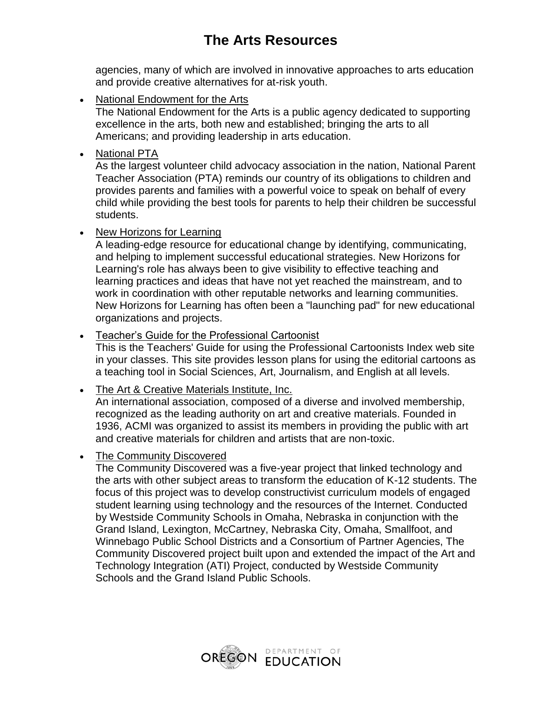agencies, many of which are involved in innovative approaches to arts education and provide creative alternatives for at-risk youth.

• National Endowment for the Arts

The National Endowment for the Arts is a public agency dedicated to supporting excellence in the arts, both new and established; bringing the arts to all Americans; and providing leadership in arts education.

• National PTA

As the largest volunteer child advocacy association in the nation, National Parent Teacher Association (PTA) reminds our country of its obligations to children and provides parents and families with a powerful voice to speak on behalf of every child while providing the best tools for parents to help their children be successful students.

• New Horizons for Learning

A leading-edge resource for educational change by identifying, communicating, and helping to implement successful educational strategies. New Horizons for Learning's role has always been to give visibility to effective teaching and learning practices and ideas that have not yet reached the mainstream, and to work in coordination with other reputable networks and learning communities. New Horizons for Learning has often been a "launching pad" for new educational organizations and projects.

[Teacher's Guide for the Professional Cartoonist](http://www.cagle.com/teacher/) 

This is the Teachers' Guide for using the Professional Cartoonists Index web site in your classes. This site provides lesson plans for using the editorial cartoons as a teaching tool in Social Sciences, Art, Journalism, and English at all levels.

[The Art & Creative Materials Institute, Inc.](http://www.acminet.org/) 

An international association, composed of a diverse and involved membership, recognized as the leading authority on art and creative materials. Founded in 1936, ACMI was organized to assist its members in providing the public with art and creative materials for children and artists that are non-toxic.

• The Community Discovered

The Community Discovered was a five-year project that linked technology and the arts with other subject areas to transform the education of K-12 students. The focus of this project was to develop constructivist curriculum models of engaged student learning using technology and the resources of the Internet. Conducted by Westside Community Schools in Omaha, Nebraska in conjunction with the Grand Island, Lexington, McCartney, Nebraska City, Omaha, Smallfoot, and Winnebago Public School Districts and a Consortium of Partner Agencies, The Community Discovered project built upon and extended the impact of the Art and Technology Integration (ATI) Project, conducted by Westside Community Schools and the Grand Island Public Schools.